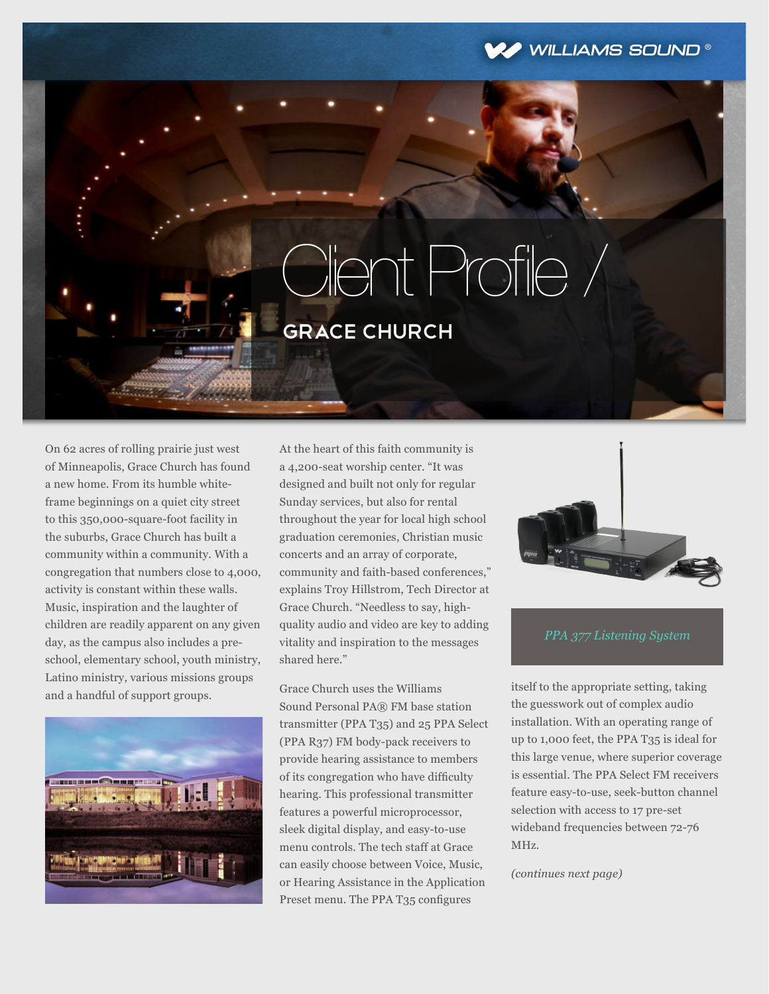## WILLIAMS SOUND®

## Client Profile / grace church

On 62 acres of rolling prairie just west of Minneapolis, Grace Church has found a new home. From its humble whiteframe beginnings on a quiet city street to this 350,000-square-foot facility in the suburbs, Grace Church has built a community within a community. With a congregation that numbers close to 4,000, activity is constant within these walls. Music, inspiration and the laughter of children are readily apparent on any given day, as the campus also includes a preschool, elementary school, youth ministry, Latino ministry, various missions groups and a handful of support groups.



At the heart of this faith community is a 4,200-seat worship center. "It was designed and built not only for regular Sunday services, but also for rental throughout the year for local high school graduation ceremonies, Christian music concerts and an array of corporate, community and faith-based conferences," explains Troy Hillstrom, Tech Director at Grace Church. "Needless to say, highquality audio and video are key to adding vitality and inspiration to the messages shared here."

Grace Church uses the Williams Sound Personal PA® FM base station transmitter (PPA T35) and 25 PPA Select (PPA R37) FM body-pack receivers to provide hearing assistance to members of its congregation who have difficulty hearing. This professional transmitter features a powerful microprocessor, sleek digital display, and easy-to-use menu controls. The tech staff at Grace can easily choose between Voice, Music, or Hearing Assistance in the Application Preset menu. The PPA T35 configures



itself to the appropriate setting, taking the guesswork out of complex audio installation. With an operating range of up to 1,000 feet, the PPA T35 is ideal for this large venue, where superior coverage is essential. The PPA Select FM receivers feature easy-to-use, seek-button channel selection with access to 17 pre-set wideband frequencies between 72-76 MHz.

*(continues next page)*